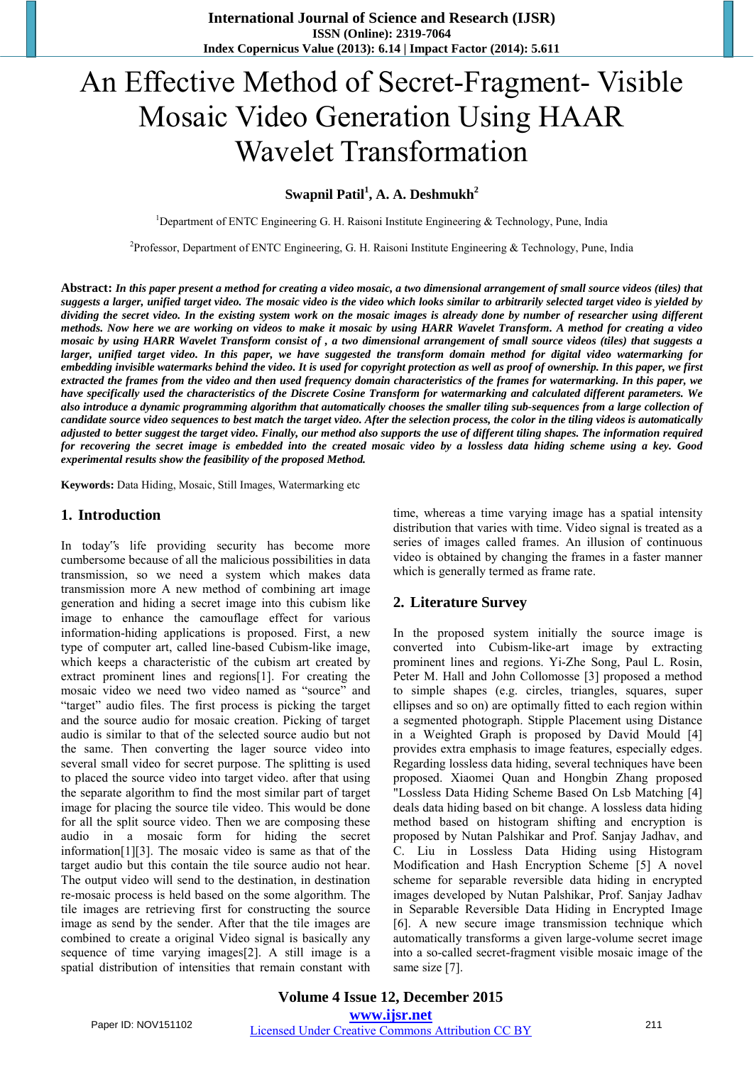# An Effective Method of Secret-Fragment- Visible Mosaic Video Generation Using HAAR Wavelet Transformation

**Swapnil Patil<sup>1</sup> , A. A. Deshmukh<sup>2</sup>**

<sup>1</sup>Department of ENTC Engineering G. H. Raisoni Institute Engineering & Technology, Pune, India

<sup>2</sup>Professor, Department of ENTC Engineering, G. H. Raisoni Institute Engineering & Technology, Pune, India

**Abstract:** *In this paper present a method for creating a video mosaic, a two dimensional arrangement of small source videos (tiles) that suggests a larger, unified target video. The mosaic video is the video which looks similar to arbitrarily selected target video is yielded by dividing the secret video. In the existing system work on the mosaic images is already done by number of researcher using different methods. Now here we are working on videos to make it mosaic by using HARR Wavelet Transform. A method for creating a video mosaic by using HARR Wavelet Transform consist of , a two dimensional arrangement of small source videos (tiles) that suggests a larger, unified target video. In this paper, we have suggested the transform domain method for digital video watermarking for embedding invisible watermarks behind the video. It is used for copyright protection as well as proof of ownership. In this paper, we first extracted the frames from the video and then used frequency domain characteristics of the frames for watermarking. In this paper, we have specifically used the characteristics of the Discrete Cosine Transform for watermarking and calculated different parameters. We also introduce a dynamic programming algorithm that automatically chooses the smaller tiling sub-sequences from a large collection of candidate source video sequences to best match the target video. After the selection process, the color in the tiling videos is automatically adjusted to better suggest the target video. Finally, our method also supports the use of different tiling shapes. The information required for recovering the secret image is embedded into the created mosaic video by a lossless data hiding scheme using a key. Good experimental results show the feasibility of the proposed Method.* 

**Keywords:** Data Hiding, Mosaic, Still Images, Watermarking etc

## **1. Introduction**

In today"s life providing security has become more cumbersome because of all the malicious possibilities in data transmission, so we need a system which makes data transmission more A new method of combining art image generation and hiding a secret image into this cubism like image to enhance the camouflage effect for various information-hiding applications is proposed. First, a new type of computer art, called line-based Cubism-like image, which keeps a characteristic of the cubism art created by extract prominent lines and regions[1]. For creating the mosaic video we need two video named as "source" and "target" audio files. The first process is picking the target and the source audio for mosaic creation. Picking of target audio is similar to that of the selected source audio but not the same. Then converting the lager source video into several small video for secret purpose. The splitting is used to placed the source video into target video. after that using the separate algorithm to find the most similar part of target image for placing the source tile video. This would be done for all the split source video. Then we are composing these audio in a mosaic form for hiding the secret information[1][3]. The mosaic video is same as that of the target audio but this contain the tile source audio not hear. The output video will send to the destination, in destination re-mosaic process is held based on the some algorithm. The tile images are retrieving first for constructing the source image as send by the sender. After that the tile images are combined to create a original Video signal is basically any sequence of time varying images[2]. A still image is a spatial distribution of intensities that remain constant with

time, whereas a time varying image has a spatial intensity distribution that varies with time. Video signal is treated as a series of images called frames. An illusion of continuous video is obtained by changing the frames in a faster manner which is generally termed as frame rate.

## **2. Literature Survey**

In the proposed system initially the source image is converted into Cubism-like-art image by extracting prominent lines and regions. Yi-Zhe Song, Paul L. Rosin, Peter M. Hall and John Collomosse [3] proposed a method to simple shapes (e.g. circles, triangles, squares, super ellipses and so on) are optimally fitted to each region within a segmented photograph. Stipple Placement using Distance in a Weighted Graph is proposed by David Mould [4] provides extra emphasis to image features, especially edges. Regarding lossless data hiding, several techniques have been proposed. Xiaomei Quan and Hongbin Zhang proposed "Lossless Data Hiding Scheme Based On Lsb Matching [4] deals data hiding based on bit change. A lossless data hiding method based on histogram shifting and encryption is proposed by Nutan Palshikar and Prof. Sanjay Jadhav, and C. Liu in Lossless Data Hiding using Histogram Modification and Hash Encryption Scheme [5] A novel scheme for separable reversible data hiding in encrypted images developed by Nutan Palshikar, Prof. Sanjay Jadhav in Separable Reversible Data Hiding in Encrypted Image [6]. A new secure image transmission technique which automatically transforms a given large-volume secret image into a so-called secret-fragment visible mosaic image of the same size [7].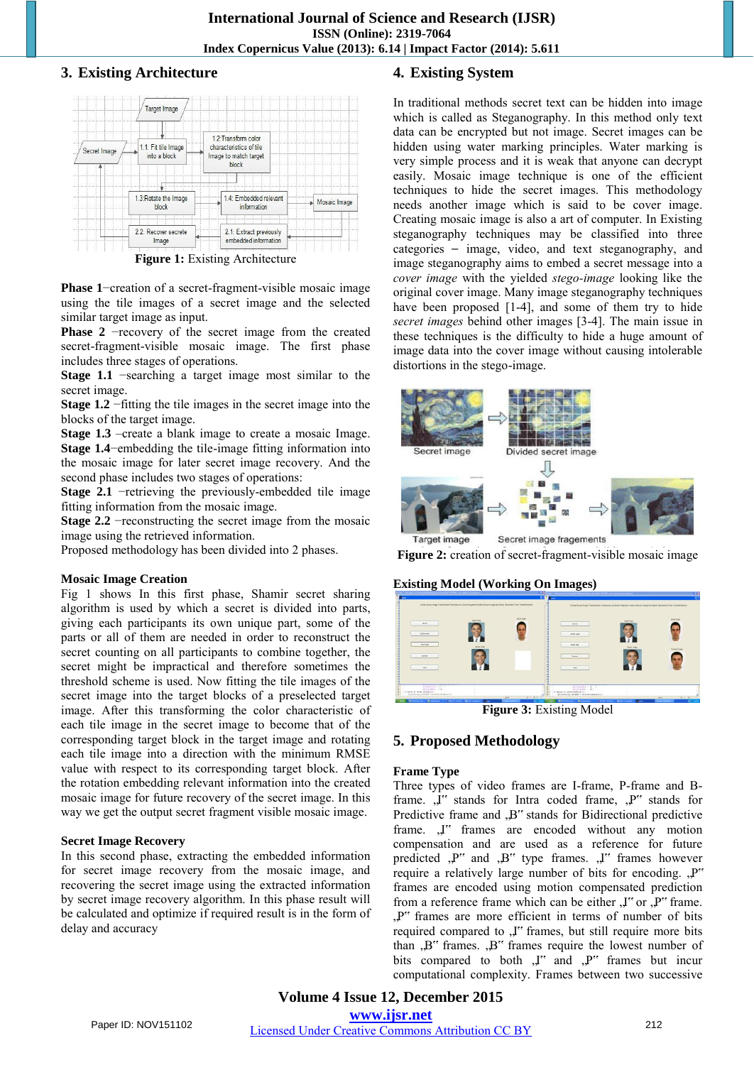## **3. Existing Architecture**



**Figure 1:** Existing Architecture

**Phase 1**−creation of a secret-fragment-visible mosaic image using the tile images of a secret image and the selected similar target image as input.

**Phase 2** −recovery of the secret image from the created secret-fragment-visible mosaic image. The first phase includes three stages of operations.

**Stage 1.1** −searching a target image most similar to the secret image.

**Stage 1.2** −fitting the tile images in the secret image into the blocks of the target image.

**Stage 1.3** –create a blank image to create a mosaic Image. **Stage 1.4**−embedding the tile-image fitting information into the mosaic image for later secret image recovery. And the second phase includes two stages of operations:

**Stage 2.1** −retrieving the previously-embedded tile image fitting information from the mosaic image.

**Stage 2.2** −reconstructing the secret image from the mosaic image using the retrieved information.

Proposed methodology has been divided into 2 phases.

## **Mosaic Image Creation**

Fig 1 shows In this first phase, Shamir secret sharing algorithm is used by which a secret is divided into parts, giving each participants its own unique part, some of the parts or all of them are needed in order to reconstruct the secret counting on all participants to combine together, the secret might be impractical and therefore sometimes the threshold scheme is used. Now fitting the tile images of the secret image into the target blocks of a preselected target image. After this transforming the color characteristic of each tile image in the secret image to become that of the corresponding target block in the target image and rotating each tile image into a direction with the minimum RMSE value with respect to its corresponding target block. After the rotation embedding relevant information into the created mosaic image for future recovery of the secret image. In this way we get the output secret fragment visible mosaic image.

## **Secret Image Recovery**

In this second phase, extracting the embedded information for secret image recovery from the mosaic image, and recovering the secret image using the extracted information by secret image recovery algorithm. In this phase result will be calculated and optimize if required result is in the form of delay and accuracy

## **4. Existing System**

In traditional methods secret text can be hidden into image which is called as Steganography. In this method only text data can be encrypted but not image. Secret images can be hidden using water marking principles. Water marking is very simple process and it is weak that anyone can decrypt easily. Mosaic image technique is one of the efficient techniques to hide the secret images. This methodology needs another image which is said to be cover image. Creating mosaic image is also a art of computer. In Existing steganography techniques may be classified into three categories - image, video, and text steganography, and image steganography aims to embed a secret message into a *cover image* with the yielded *stego-image* looking like the original cover image. Many image steganography techniques have been proposed [1-4], and some of them try to hide *secret images* behind other images [3-4]. The main issue in these techniques is the difficulty to hide a huge amount of image data into the cover image without causing intolerable distortions in the stego-image.



**Figure 2:** creation of secret-fragment-visible mosaic image

## **Existing Model (Working On Images)**



## **5. Proposed Methodology**

## **Frame Type**

Three types of video frames are I-frame, P-frame and Bframe. "I" stands for Intra coded frame, "P" stands for Predictive frame and ,B" stands for Bidirectional predictive frame. "I" frames are encoded without any motion compensation and are used as a reference for future predicted  $P''$  and  $B''$  type frames.  $J''$  frames however require a relatively large number of bits for encoding.  $P^{\prime\prime}$ frames are encoded using motion compensated prediction from a reference frame which can be either  $J''$  or  $J''$  frame. , P" frames are more efficient in terms of number of bits required compared to , I" frames, but still require more bits than  $, B$ " frames.  $, B$ " frames require the lowest number of bits compared to both ,J" and ,P" frames but incur computational complexity. Frames between two successive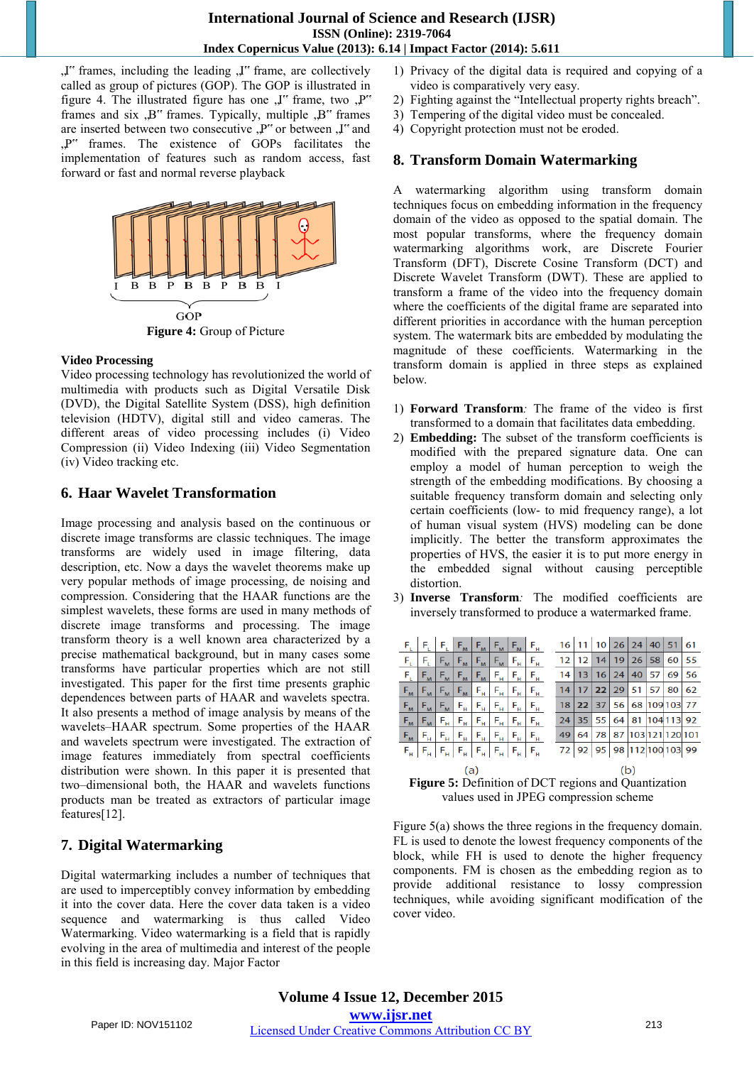"I" frames, including the leading "I" frame, are collectively called as group of pictures (GOP). The GOP is illustrated in figure 4. The illustrated figure has one  $\mu$ " frame, two  $\mu$ " frames and six  $, B$ " frames. Typically, multiple  $, B$ " frames are inserted between two consecutive ,P" or between ,J" and "P" frames. The existence of GOPs facilitates the implementation of features such as random access, fast forward or fast and normal reverse playback



## **Video Processing**

Video processing technology has revolutionized the world of multimedia with products such as Digital Versatile Disk (DVD), the Digital Satellite System (DSS), high definition television (HDTV), digital still and video cameras. The different areas of video processing includes (i) Video Compression (ii) Video Indexing (iii) Video Segmentation (iv) Video tracking etc.

## **6. Haar Wavelet Transformation**

Image processing and analysis based on the continuous or discrete image transforms are classic techniques. The image transforms are widely used in image filtering, data description, etc. Now a days the wavelet theorems make up very popular methods of image processing, de noising and compression. Considering that the HAAR functions are the simplest wavelets, these forms are used in many methods of discrete image transforms and processing. The image transform theory is a well known area characterized by a precise mathematical background, but in many cases some transforms have particular properties which are not still investigated. This paper for the first time presents graphic dependences between parts of HAAR and wavelets spectra. It also presents a method of image analysis by means of the wavelets–HAAR spectrum. Some properties of the HAAR and wavelets spectrum were investigated. The extraction of image features immediately from spectral coefficients distribution were shown. In this paper it is presented that two–dimensional both, the HAAR and wavelets functions products man be treated as extractors of particular image features[12].

## **7. Digital Watermarking**

Digital watermarking includes a number of techniques that are used to imperceptibly convey information by embedding it into the cover data. Here the cover data taken is a video sequence and watermarking is thus called Video Watermarking. Video watermarking is a field that is rapidly evolving in the area of multimedia and interest of the people in this field is increasing day. Major Factor

- 1) Privacy of the digital data is required and copying of a video is comparatively very easy.
- 2) Fighting against the "Intellectual property rights breach".
- 3) Tempering of the digital video must be concealed.
- 4) Copyright protection must not be eroded.

## **8. Transform Domain Watermarking**

A watermarking algorithm using transform domain techniques focus on embedding information in the frequency domain of the video as opposed to the spatial domain. The most popular transforms, where the frequency domain watermarking algorithms work, are Discrete Fourier Transform (DFT), Discrete Cosine Transform (DCT) and Discrete Wavelet Transform (DWT). These are applied to transform a frame of the video into the frequency domain where the coefficients of the digital frame are separated into different priorities in accordance with the human perception system. The watermark bits are embedded by modulating the magnitude of these coefficients. Watermarking in the transform domain is applied in three steps as explained below.

- 1) **Forward Transform***:* The frame of the video is first transformed to a domain that facilitates data embedding.
- 2) **Embedding:** The subset of the transform coefficients is modified with the prepared signature data. One can employ a model of human perception to weigh the strength of the embedding modifications. By choosing a suitable frequency transform domain and selecting only certain coefficients (low- to mid frequency range), a lot of human visual system (HVS) modeling can be done implicitly. The better the transform approximates the properties of HVS, the easier it is to put more energy in the embedded signal without causing perceptible distortion.
- 3) **Inverse Transform***:* The modified coefficients are inversely transformed to produce a watermarked frame.

|                                 |             |                                               |                                                                                                                                                                   |                                                    | $F_L$ $F_L$ $F_L$ $F_M$ $F_M$ $F_M$ $F_M$ $F_H$ |                         |                                               |  |    |                 |    |         |                     |       | 16 11 10 26 24 40 51 61                              |    |
|---------------------------------|-------------|-----------------------------------------------|-------------------------------------------------------------------------------------------------------------------------------------------------------------------|----------------------------------------------------|-------------------------------------------------|-------------------------|-----------------------------------------------|--|----|-----------------|----|---------|---------------------|-------|------------------------------------------------------|----|
| F,                              | F.          | $F_{M}$                                       | $F_{M}$                                                                                                                                                           | $F_{M}$                                            | $F_{M}$                                         | $F_{\mu}$               | $\mathsf{F}_{\mathsf{H}}$                     |  | 12 | 12              | 14 |         | 19 26 58            |       | 60                                                   | 55 |
| F,                              | $F_{M}$     | $F_{M}$                                       | $F_{\scriptscriptstyle{\rm{M}}}$                                                                                                                                  | $F_{M}$                                            | $F_{\mu}$                                       | $F_H$                   | $\mathsf{F}_{\scriptscriptstyle\mathsf{H}}$   |  | 14 | 13              | 16 | 24      | 40                  | 57    | 69                                                   | 56 |
| $F_{M}$                         | $F_{M}$     | $F_{M}$                                       | $F_{\scriptscriptstyle{\rm{M}}}$                                                                                                                                  | $(E_H)$                                            | $F_H$                                           | $F_H$                   | $\mathsf{F}_{\scriptscriptstyle{\mathsf{H}}}$ |  | 14 |                 |    |         | $17$   22   29   51 | 57 80 |                                                      | 62 |
| $F_{M}$                         | $F_{M}$     | $F_{M}$                                       | $F_{\scriptscriptstyle\rm H}$                                                                                                                                     | $\mathsf{F}_{\mathsf{H}}$ ).                       | $F_{\rm H}$                                     | $F_H$                   | $F_{\underline{H}}$                           |  | 18 | 22 <sub>1</sub> |    |         |                     |       | 37 56 68 109 103                                     | 77 |
| $\mathsf{F}_{\mathsf{M}}$       | $F_{M}$     | $\mathsf{F}_{\scriptscriptstyle{\mathsf{H}}}$ | $F_H$                                                                                                                                                             | $F_H$                                              | $F_H$                                           | $F_H$                   | $F_H$                                         |  | 24 | 35 <sub>1</sub> |    | 55   64 |                     |       | 81 104 113 92                                        |    |
| $F_{\scriptscriptstyle{\rm M}}$ | $F_{\rm H}$ | $F_{\scriptscriptstyle\rm H}$                 | $F_H^{-1}$                                                                                                                                                        | $\left(\mathsf{F}_{\underline{\mathsf{H}}}\right)$ | $F_{\rm H}$                                     | $(E_{\rm H}^{-1}$       | $F_{\rm H}$                                   |  | 49 | 64              | 78 |         |                     |       | 87 103 121 120 101                                   |    |
|                                 | $F_H$ $F_H$ |                                               | $\mathsf{F}_{_{\mathsf{H}}}\left \right. \mathsf{F}_{_{\mathsf{H}}}\left \right. \mathsf{F}_{_{\mathsf{H}}}\left \right. \mathsf{F}_{_{\mathsf{H}}}\left.\right $ |                                                    |                                                 | $F_{\rm H}$ $F_{\rm H}$ |                                               |  |    |                 |    |         |                     |       | 72 92 95 98 112 100 103 99                           |    |
| (a)                             |             |                                               |                                                                                                                                                                   |                                                    |                                                 |                         |                                               |  |    |                 |    |         |                     |       |                                                      |    |
|                                 |             |                                               |                                                                                                                                                                   |                                                    |                                                 |                         |                                               |  |    |                 |    |         |                     |       | Figure 5: Definition of DCT regions and Quentization |    |

**Figure 5:** Definition of DCT regions and Quantization values used in JPEG compression scheme

Figure 5(a) shows the three regions in the frequency domain. FL is used to denote the lowest frequency components of the block, while FH is used to denote the higher frequency components. FM is chosen as the embedding region as to provide additional resistance to lossy compression techniques, while avoiding significant modification of the cover video.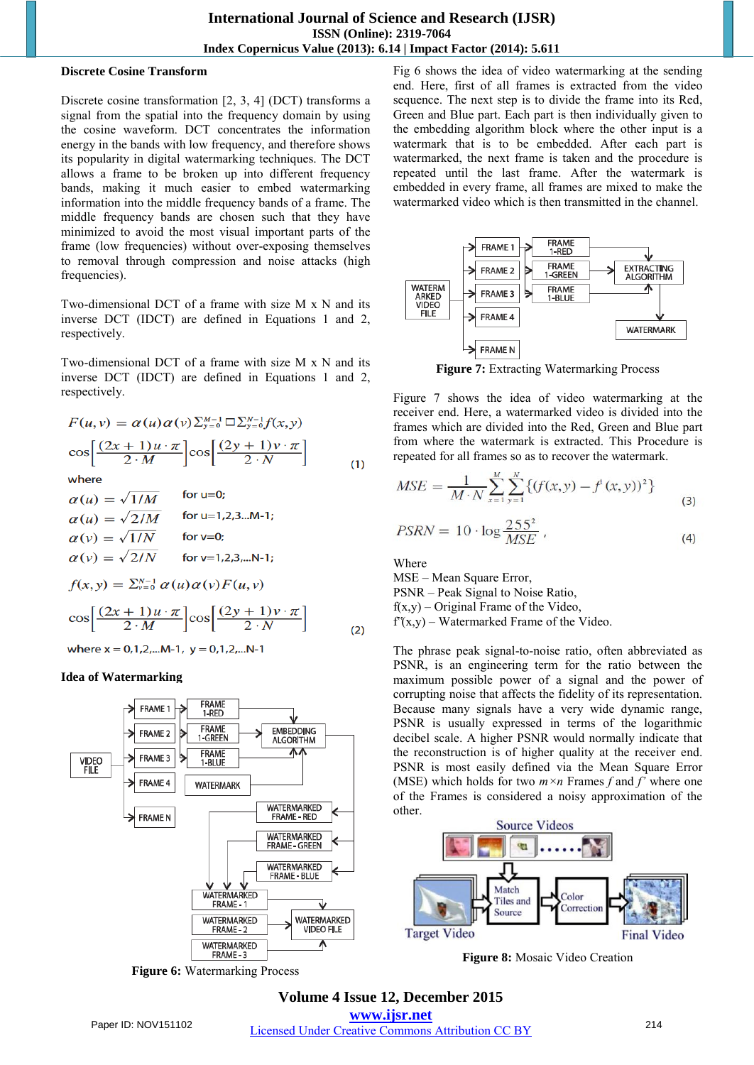## **Discrete Cosine Transform**

Discrete cosine transformation [2, 3, 4] (DCT) transforms a signal from the spatial into the frequency domain by using the cosine waveform. DCT concentrates the information energy in the bands with low frequency, and therefore shows its popularity in digital watermarking techniques. The DCT allows a frame to be broken up into different frequency bands, making it much easier to embed watermarking information into the middle frequency bands of a frame. The middle frequency bands are chosen such that they have minimized to avoid the most visual important parts of the frame (low frequencies) without over-exposing themselves to removal through compression and noise attacks (high frequencies).

Two-dimensional DCT of a frame with size M x N and its inverse DCT (IDCT) are defined in Equations 1 and 2, respectively.

Two-dimensional DCT of a frame with size M x N and its inverse DCT (IDCT) are defined in Equations 1 and 2, respectively.

$$
F(u, v) = \alpha(u)\alpha(v)\sum_{y=0}^{M-1} \square \sum_{y=0}^{N-1} f(x, y)
$$

$$
\cos\left[\frac{(2x+1)u \cdot \pi}{2 \cdot M}\right] \cos\left[\frac{(2y+1)v \cdot \pi}{2 \cdot N}\right]
$$
  
where (1)

$$
\alpha(u) = \sqrt{1/M} \quad \text{for u=0;}
$$
  
\n
$$
\alpha(u) = \sqrt{2/M} \quad \text{for u=1,2,3...M-1;}
$$
  
\n
$$
\alpha(v) = \sqrt{1/N} \quad \text{for v=0;}
$$
  
\n
$$
\alpha(v) = \sqrt{2/N} \quad \text{for v=1,2,3,...N-1;}
$$
  
\n
$$
f(x,y) = \sum_{\nu=0}^{N-1} \alpha(u) \alpha(\nu) F(u,\nu)
$$
  
\n
$$
\cos \left[ \frac{(2x+1)u \cdot \pi}{2 \cdot M} \right] \cos \left[ \frac{(2y+1)v \cdot \pi}{2 \cdot N} \right]
$$
  
\nwhere x = 0,1,2,...M-1, y = 0,1,2,...N-1

## **Idea of Watermarking**



**Figure 6:** Watermarking Process

Fig 6 shows the idea of video watermarking at the sending end. Here, first of all frames is extracted from the video sequence. The next step is to divide the frame into its Red, Green and Blue part. Each part is then individually given to the embedding algorithm block where the other input is a watermark that is to be embedded. After each part is watermarked, the next frame is taken and the procedure is repeated until the last frame. After the watermark is embedded in every frame, all frames are mixed to make the watermarked video which is then transmitted in the channel.



**Figure 7:** Extracting Watermarking Process

Figure 7 shows the idea of video watermarking at the receiver end. Here, a watermarked video is divided into the frames which are divided into the Red, Green and Blue part from where the watermark is extracted. This Procedure is repeated for all frames so as to recover the watermark.

$$
MSE = \frac{1}{M \cdot N} \sum_{x=1}^{M} \sum_{y=1}^{N} \{ (f(x, y) - f'(x, y))^2 \}
$$
  
\n
$$
PSRN = 10 \cdot \log \frac{255^2}{MSE},
$$
\n(4)

Where

MSE – Mean Square Error,

PSNR – Peak Signal to Noise Ratio,  $f(x,y)$  – Original Frame of the Video,

 $f(x,y)$  – Watermarked Frame of the Video.

The phrase peak signal-to-noise ratio, often abbreviated as PSNR, is an engineering term for the ratio between the maximum possible power of a signal and the power of corrupting noise that affects the fidelity of its representation. Because many signals have a very wide dynamic range, PSNR is usually expressed in terms of the logarithmic decibel scale. A higher PSNR would normally indicate that the reconstruction is of higher quality at the receiver end. PSNR is most easily defined via the Mean Square Error (MSE) which holds for two  $m \times n$  Frames  $f$  and  $f'$  where one of the Frames is considered a noisy approximation of the other.



**Figure 8:** Mosaic Video Creation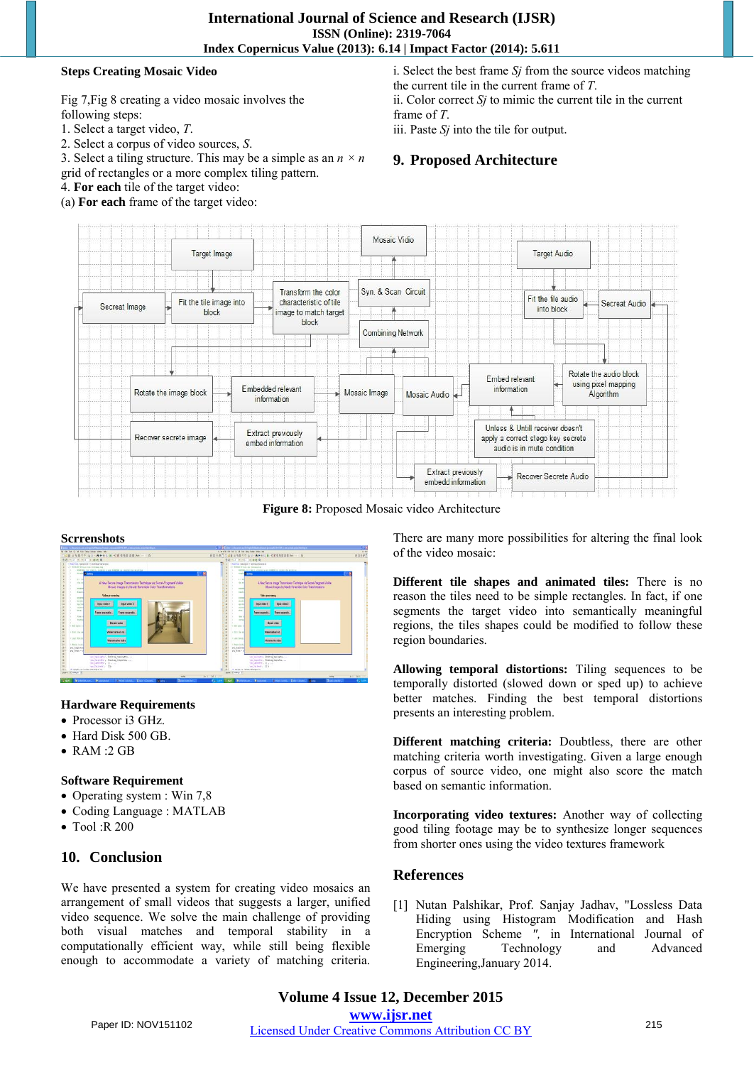## **Steps Creating Mosaic Video**

Fig 7,Fig 8 creating a video mosaic involves the following steps:

- 1. Select a target video, *T*.
- 2. Select a corpus of video sources, *S*.
- 3. Select a tiling structure. This may be a simple as an  $n \times n$
- grid of rectangles or a more complex tiling pattern.
- 4. **For each** tile of the target video:
- (a) **For each** frame of the target video:

i. Select the best frame *Sj* from the source videos matching the current tile in the current frame of *T*. ii. Color correct *Sj* to mimic the current tile in the current frame of *T*.

iii. Paste *Sj* into the tile for output.

## **9. Proposed Architecture**



**Figure 8:** Proposed Mosaic video Architecture

#### **Scrrenshots**



## **Hardware Requirements**

- Processor i3 GHz.
- Hard Disk 500 GB.
- RAM :2 GB

## **Software Requirement**

- Operating system : Win 7,8
- Coding Language : MATLAB
- Tool :R 200

## **10. Conclusion**

We have presented a system for creating video mosaics an arrangement of small videos that suggests a larger, unified video sequence. We solve the main challenge of providing both visual matches and temporal stability in a computationally efficient way, while still being flexible enough to accommodate a variety of matching criteria. There are many more possibilities for altering the final look of the video mosaic:

**Different tile shapes and animated tiles:** There is no reason the tiles need to be simple rectangles. In fact, if one segments the target video into semantically meaningful regions, the tiles shapes could be modified to follow these region boundaries.

**Allowing temporal distortions:** Tiling sequences to be temporally distorted (slowed down or sped up) to achieve better matches. Finding the best temporal distortions presents an interesting problem.

**Different matching criteria:** Doubtless, there are other matching criteria worth investigating. Given a large enough corpus of source video, one might also score the match based on semantic information.

**Incorporating video textures:** Another way of collecting good tiling footage may be to synthesize longer sequences from shorter ones using the video textures framework

## **References**

[1] Nutan Palshikar, Prof. Sanjay Jadhav, "Lossless Data Hiding using Histogram Modification and Hash Encryption Scheme ", in International Journal of Emerging Technology and Advanced Technology and Advanced Engineering,January 2014.